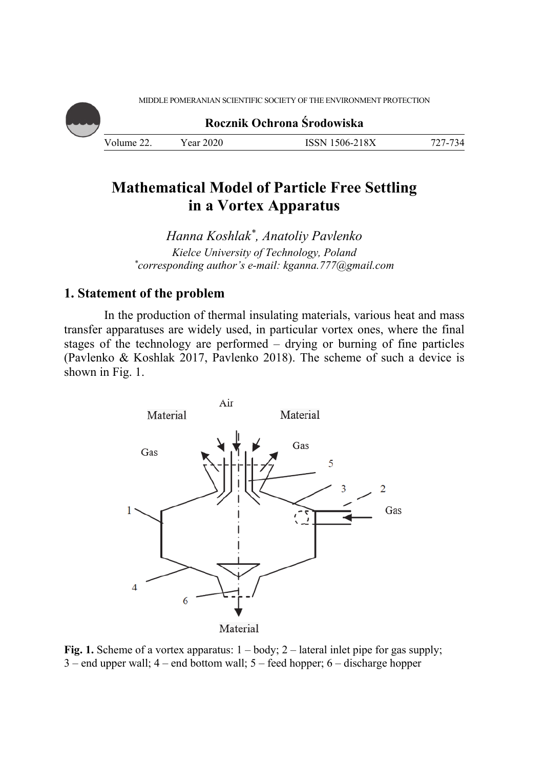MIDDLE POMERANIAN SCIENTIFIC SOCIETY OF THE ENVIRONMENT PROTECTION

**Rocznik Ochrona Środowiska** Volume 22. Year 2020 ISSN 1506-218X 727-734

# **Mathematical Model of Particle Free Settling in a Vortex Apparatus**

*Hanna Koshlak\*, Anatoliy Pavlenko Kielce University of Technology, Poland \* corresponding author's e-mail: kganna.777@gmail.com* 

# **1. Statement of the problem**

In the production of thermal insulating materials, various heat and mass transfer apparatuses are widely used, in particular vortex ones, where the final stages of the technology are performed – drying or burning of fine particles (Pavlenko & Koshlak 2017, Pavlenko 2018). The scheme of such a device is shown in Fig. 1.



Fig. 1. Scheme of a vortex apparatus:  $1 - body$ ;  $2 - lateral$  inlet pipe for gas supply; 3 – end upper wall; 4 – end bottom wall; 5 – feed hopper; 6 – discharge hopper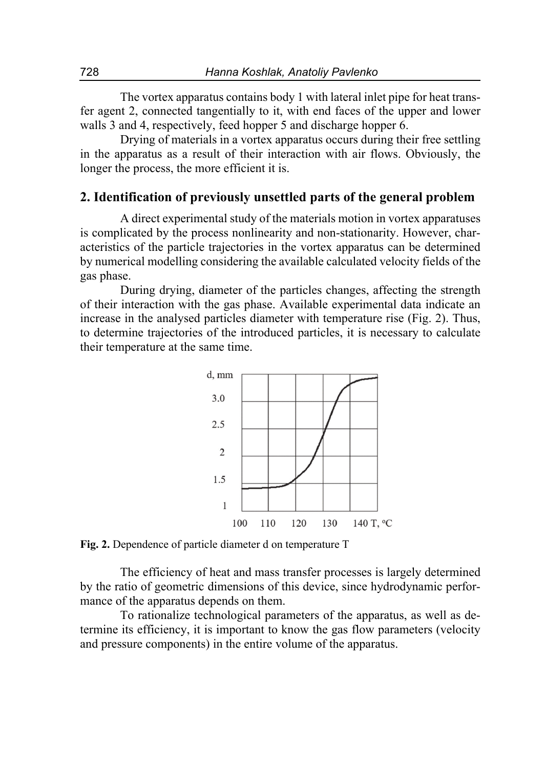The vortex apparatus contains body 1 with lateral inlet pipe for heat transfer agent 2, connected tangentially to it, with end faces of the upper and lower walls 3 and 4, respectively, feed hopper 5 and discharge hopper 6.

Drying of materials in a vortex apparatus occurs during their free settling in the apparatus as a result of their interaction with air flows. Obviously, the longer the process, the more efficient it is.

# **2. Identification of previously unsettled parts of the general problem**

A direct experimental study of the materials motion in vortex apparatuses is complicated by the process nonlinearity and non-stationarity. However, characteristics of the particle trajectories in the vortex apparatus can be determined by numerical modelling considering the available calculated velocity fields of the gas phase.

During drying, diameter of the particles changes, affecting the strength of their interaction with the gas phase. Available experimental data indicate an increase in the analysed particles diameter with temperature rise (Fig. 2). Thus, to determine trajectories of the introduced particles, it is necessary to calculate their temperature at the same time.



**Fig. 2.** Dependence of particle diameter d on temperature T

The efficiency of heat and mass transfer processes is largely determined by the ratio of geometric dimensions of this device, since hydrodynamic performance of the apparatus depends on them.

To rationalize technological parameters of the apparatus, as well as determine its efficiency, it is important to know the gas flow parameters (velocity and pressure components) in the entire volume of the apparatus.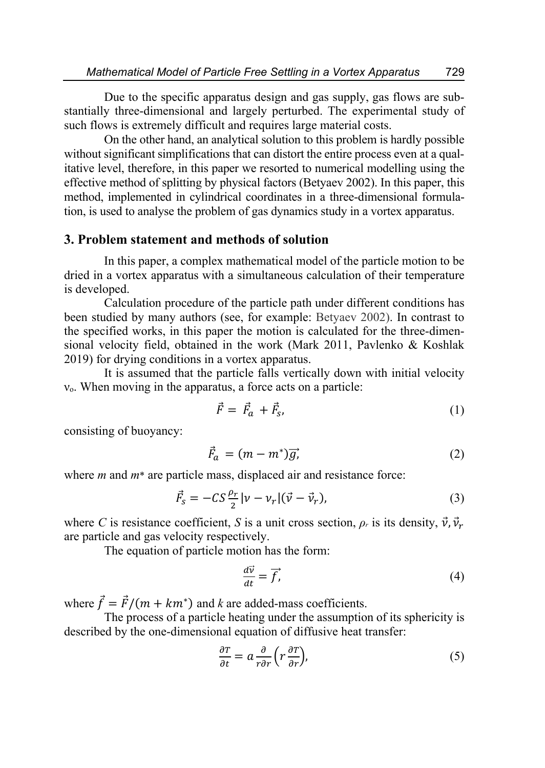Due to the specific apparatus design and gas supply, gas flows are substantially three-dimensional and largely perturbed. The experimental study of such flows is extremely difficult and requires large material costs.

On the other hand, an analytical solution to this problem is hardly possible without significant simplifications that can distort the entire process even at a qualitative level, therefore, in this paper we resorted to numerical modelling using the effective method of splitting by physical factors (Betyaev 2002). In this paper, this method, implemented in cylindrical coordinates in a three-dimensional formulation, is used to analyse the problem of gas dynamics study in a vortex apparatus.

## **3. Problem statement and methods of solution**

In this paper, a complex mathematical model of the particle motion to be dried in a vortex apparatus with a simultaneous calculation of their temperature is developed.

Calculation procedure of the particle path under different conditions has been studied by many authors (see, for example: Betyaev 2002). In contrast to the specified works, in this paper the motion is calculated for the three-dimensional velocity field, obtained in the work (Mark 2011, Pavlenko & Koshlak 2019) for drying conditions in a vortex apparatus.

It is assumed that the particle falls vertically down with initial velocity  $v<sub>o</sub>$ . When moving in the apparatus, a force acts on a particle:

$$
\vec{F} = \vec{F}_a + \vec{F}_s,\tag{1}
$$

consisting of buoyancy:

$$
\vec{F}_a = (m - m^*)\vec{g},\tag{2}
$$

where *m* and *m*\* are particle mass, displaced air and resistance force:

$$
\vec{F}_S = -CS\frac{\rho_r}{2}|\nu - \nu_r|(\vec{\nu} - \vec{\nu}_r),\tag{3}
$$

where *C* is resistance coefficient, *S* is a unit cross section,  $\rho_r$  is its density,  $\vec{v}$ ,  $\vec{v}_r$ are particle and gas velocity respectively.

The equation of particle motion has the form:

$$
\frac{d\vec{v}}{dt} = \vec{f},\tag{4}
$$

where  $\vec{f} = \vec{F}/(m + km^*)$  and *k* are added-mass coefficients.

The process of a particle heating under the assumption of its sphericity is described by the one-dimensional equation of diffusive heat transfer:

$$
\frac{\partial T}{\partial t} = a \frac{\partial}{r \partial r} \left( r \frac{\partial T}{\partial r} \right),\tag{5}
$$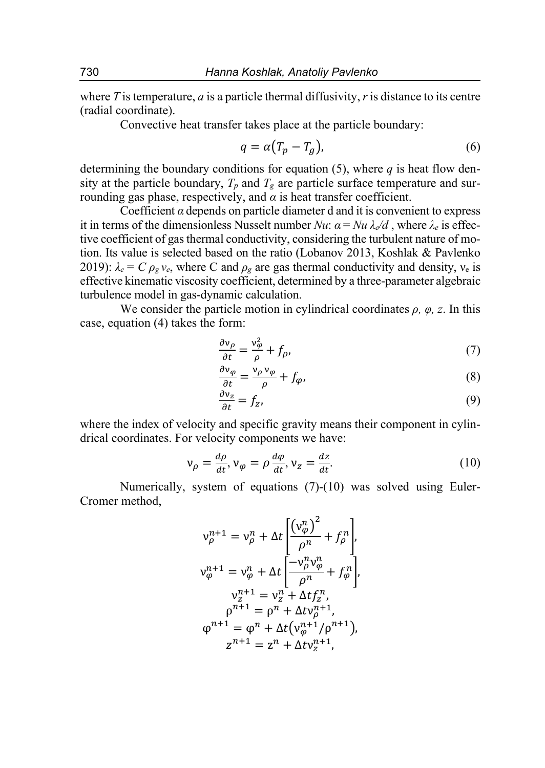where *T* is temperature, *a* is a particle thermal diffusivity, *r* is distance to its centre (radial coordinate).

Convective heat transfer takes place at the particle boundary:

$$
q = \alpha (T_p - T_g), \tag{6}
$$

determining the boundary conditions for equation (5), where *q* is heat flow density at the particle boundary,  $T_p$  and  $T_g$  are particle surface temperature and surrounding gas phase, respectively, and  $\alpha$  is heat transfer coefficient.

Coefficient  $\alpha$  depends on particle diameter d and it is convenient to express it in terms of the dimensionless Nusselt number *Nu*:  $\alpha = Nu \lambda_{e}/d$ , where  $\lambda_{e}$  is effective coefficient of gas thermal conductivity, considering the turbulent nature of motion. Its value is selected based on the ratio (Lobanov 2013, Koshlak & Pavlenko 2019):  $\lambda_e = C \rho_g v_e$ , where C and  $\rho_g$  are gas thermal conductivity and density,  $v_e$  is effective kinematic viscosity coefficient, determined by a three-parameter algebraic turbulence model in gas-dynamic calculation.

We consider the particle motion in cylindrical coordinates  $\rho$ *,*  $\varphi$ *, z*. In this case, equation (4) takes the form:

$$
\frac{\partial v_{\rho}}{\partial t} = \frac{v_{\phi}^2}{\rho} + f_{\rho},\tag{7}
$$

$$
\frac{\partial v_{\varphi}}{\partial t} = \frac{v_{\rho} v_{\varphi}}{\rho} + f_{\varphi},\tag{8}
$$

$$
\frac{\partial v_z}{\partial t} = f_z,\tag{9}
$$

where the index of velocity and specific gravity means their component in cylindrical coordinates. For velocity components we have:

$$
\nu_{\rho} = \frac{d\rho}{dt}, \nu_{\varphi} = \rho \frac{d\varphi}{dt}, \nu_{z} = \frac{dz}{dt}.
$$
 (10)

Numerically, system of equations (7)-(10) was solved using Euler-Cromer method,

$$
v_{\rho}^{n+1} = v_{\rho}^{n} + \Delta t \left[ \frac{(v_{\phi}^{n})^{2}}{\rho^{n}} + f_{\rho}^{n} \right],
$$
  
\n
$$
v_{\phi}^{n+1} = v_{\phi}^{n} + \Delta t \left[ \frac{-v_{\rho}^{n} v_{\phi}^{n}}{\rho^{n}} + f_{\phi}^{n} \right],
$$
  
\n
$$
v_{z}^{n+1} = v_{z}^{n} + \Delta t f_{z}^{n},
$$
  
\n
$$
\rho^{n+1} = \rho^{n} + \Delta t v_{\rho}^{n+1},
$$
  
\n
$$
\varphi^{n+1} = \varphi^{n} + \Delta t (v_{\phi}^{n+1}/\rho^{n+1}),
$$
  
\n
$$
z^{n+1} = z^{n} + \Delta t v_{z}^{n+1},
$$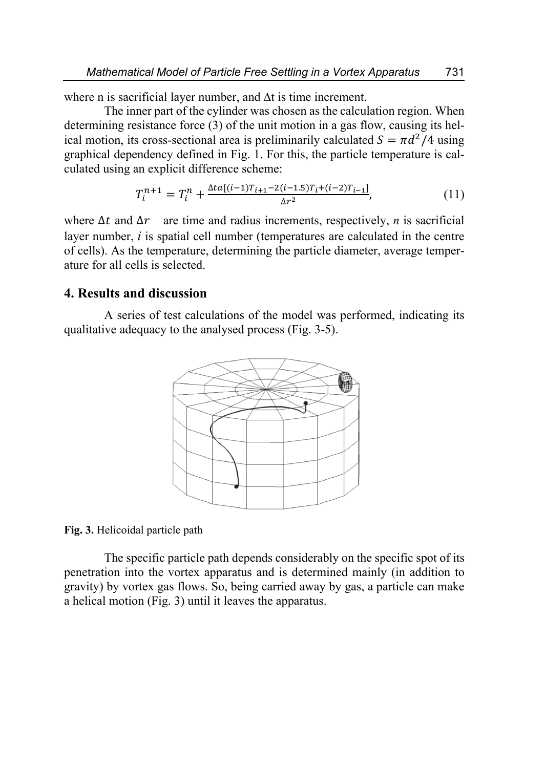where n is sacrificial layer number, and ∆t is time increment.

The inner part of the cylinder was chosen as the calculation region. When determining resistance force (3) of the unit motion in a gas flow, causing its helical motion, its cross-sectional area is preliminarily calculated  $S = \pi d^2/4$  using graphical dependency defined in Fig. 1. For this, the particle temperature is calculated using an explicit difference scheme:

$$
T_i^{n+1} = T_i^n + \frac{\Delta t a [(i-1)T_{i+1} - 2(i-1.5)T_i + (i-2)T_{i-1}]}{\Delta r^2},\tag{11}
$$

where  $\Delta t$  and  $\Delta r$  are time and radius increments, respectively, *n* is sacrificial layer number, *i* is spatial cell number (temperatures are calculated in the centre of cells). As the temperature, determining the particle diameter, average temperature for all cells is selected.

## **4. Results and discussion**

A series of test calculations of the model was performed, indicating its qualitative adequacy to the analysed process (Fig. 3-5).



**Fig. 3.** Helicoidal particle path

The specific particle path depends considerably on the specific spot of its penetration into the vortex apparatus and is determined mainly (in addition to gravity) by vortex gas flows. So, being carried away by gas, a particle can make a helical motion (Fig. 3) until it leaves the apparatus.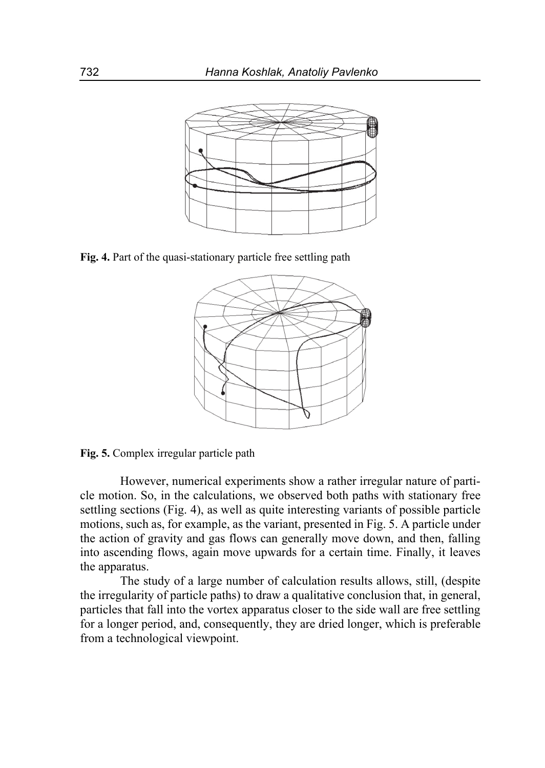

**Fig. 4.** Part of the quasi-stationary particle free settling path



**Fig. 5.** Complex irregular particle path

However, numerical experiments show a rather irregular nature of particle motion. So, in the calculations, we observed both paths with stationary free settling sections (Fig. 4), as well as quite interesting variants of possible particle motions, such as, for example, as the variant, presented in Fig. 5. A particle under the action of gravity and gas flows can generally move down, and then, falling into ascending flows, again move upwards for a certain time. Finally, it leaves the apparatus.

The study of a large number of calculation results allows, still, (despite the irregularity of particle paths) to draw a qualitative conclusion that, in general, particles that fall into the vortex apparatus closer to the side wall are free settling for a longer period, and, consequently, they are dried longer, which is preferable from a technological viewpoint.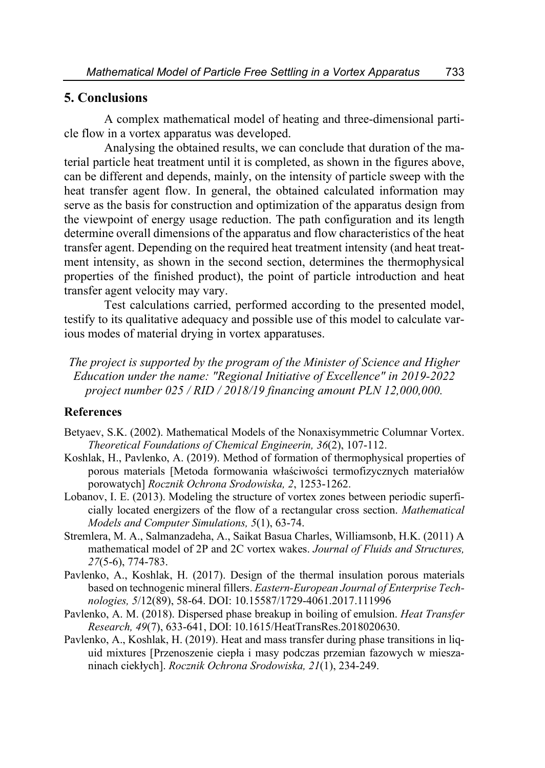## **5. Conclusions**

A complex mathematical model of heating and three-dimensional particle flow in a vortex apparatus was developed.

Analysing the obtained results, we can conclude that duration of the material particle heat treatment until it is completed, as shown in the figures above, can be different and depends, mainly, on the intensity of particle sweep with the heat transfer agent flow. In general, the obtained calculated information may serve as the basis for construction and optimization of the apparatus design from the viewpoint of energy usage reduction. The path configuration and its length determine overall dimensions of the apparatus and flow characteristics of the heat transfer agent. Depending on the required heat treatment intensity (and heat treatment intensity, as shown in the second section, determines the thermophysical properties of the finished product), the point of particle introduction and heat transfer agent velocity may vary.

Test calculations carried, performed according to the presented model, testify to its qualitative adequacy and possible use of this model to calculate various modes of material drying in vortex apparatuses.

*The project is supported by the program of the Minister of Science and Higher Education under the name: "Regional Initiative of Excellence" in 2019-2022 project number 025 / RID / 2018/19 financing amount PLN 12,000,000.* 

## **References**

- Betyaev, S.K. (2002). Mathematical Models of the Nonaxisymmetric Columnar Vortex. *Theoretical Foundations of Chemical Engineerin, 36*(2), 107-112.
- Koshlak, H., Pavlenko, A. (2019). Method of formation of thermophysical properties of porous materials [Metoda formowania właściwości termofizycznych materiałów porowatych] *Rocznik Ochrona Srodowiska, 2*, 1253-1262.
- Lobanov, I. E. (2013). Modeling the structure of vortex zones between periodic superficially located energizers of the flow of a rectangular cross section. *Mathematical Models and Computer Simulations, 5*(1), 63-74.
- Stremlera, M. A., Salmanzadeha, A., Saikat Basua Charles, Williamsonb, H.K. (2011) A mathematical model of 2P and 2C vortex wakes. *Journal of Fluids and Structures, 27*(5-6), 774-783.
- Pavlenko, A., Koshlak, H. (2017). Design of the thermal insulation porous materials based on technogenic mineral fillers. *Eastern-European Journal of Enterprise Technologies, 5*/12(89), 58-64. DOI: 10.15587/1729-4061.2017.111996
- Pavlenko, A. M. (2018). Dispersed phase breakup in boiling of emulsion. *Heat Transfer Research, 49*(7), 633-641, DOI: 10.1615/HeatTransRes.2018020630.
- Pavlenko, A., Koshlak, H. (2019). Heat and mass transfer during phase transitions in liquid mixtures [Przenoszenie ciepła i masy podczas przemian fazowych w mieszaninach ciekłych]. *Rocznik Ochrona Srodowiska, 21*(1), 234-249.